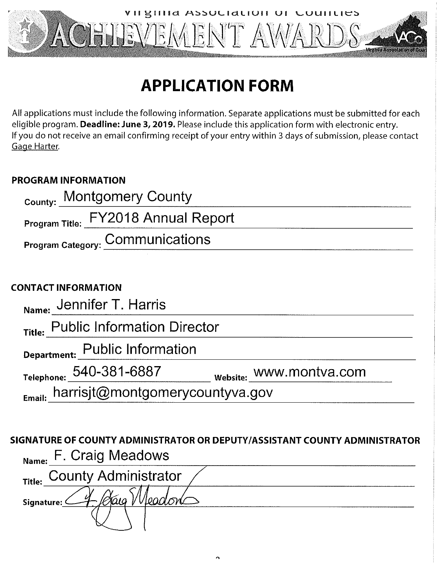

# **APPLICATION FORM**

All applications must include the following information. Separate applications must be submitted for each eligible program. Deadline: June 3, 2019. Please include this application form with electronic entry. If you do not receive an email confirming receipt of your entry within 3 days of submission, please contact Gage Harter.

### **PROGRAM INFORMATION**

| <sub>County:</sub> Montgomery County |  |
|--------------------------------------|--|
| Program Title: FY2018 Annual Report  |  |
| Program Category: Communications     |  |
|                                      |  |
| <b>CONTACT INFORMATION</b>           |  |
| Name: Jennifer T. Harris             |  |
| Title: Public Information Director   |  |

Department: Public Information

Telephone: 540-381-6887

website: WWW.montva.com

harrisjt@montgomerycountyva.gov Email:

# SIGNATURE OF COUNTY ADMINISTRATOR OR DEPUTY/ASSISTANT COUNTY ADMINISTRATOR F. Craig Meadows

| Name: $\cdots$ $\cdots$ $\cdots$ |
|----------------------------------|
| Title: County Administrator      |
| U<br>Signature:                  |
|                                  |

 $\Delta$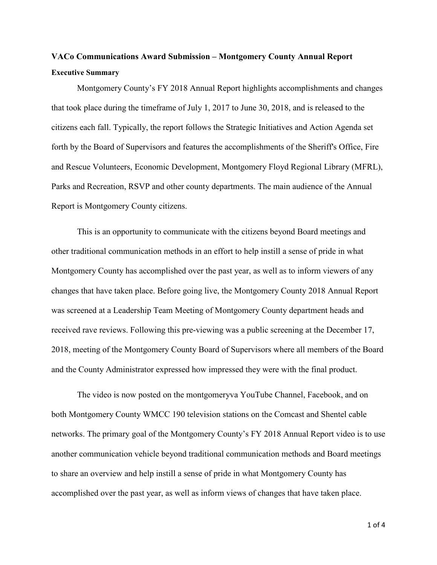## **VACo Communications Award Submission – Montgomery County Annual Report Executive Summary**

Montgomery County's FY 2018 Annual Report highlights accomplishments and changes that took place during the timeframe of July 1, 2017 to June 30, 2018, and is released to the citizens each fall. Typically, the report follows the Strategic Initiatives and Action Agenda set forth by the Board of Supervisors and features the accomplishments of the Sheriff's Office, Fire and Rescue Volunteers, Economic Development, Montgomery Floyd Regional Library (MFRL), Parks and Recreation, RSVP and other county departments. The main audience of the Annual Report is Montgomery County citizens.

This is an opportunity to communicate with the citizens beyond Board meetings and other traditional communication methods in an effort to help instill a sense of pride in what Montgomery County has accomplished over the past year, as well as to inform viewers of any changes that have taken place. Before going live, the Montgomery County 2018 Annual Report was screened at a Leadership Team Meeting of Montgomery County department heads and received rave reviews. Following this pre-viewing was a public screening at the December 17, 2018, meeting of the Montgomery County Board of Supervisors where all members of the Board and the County Administrator expressed how impressed they were with the final product.

The video is now posted on the montgomeryva YouTube Channel, Facebook, and on both Montgomery County WMCC 190 television stations on the Comcast and Shentel cable networks. The primary goal of the Montgomery County's FY 2018 Annual Report video is to use another communication vehicle beyond traditional communication methods and Board meetings to share an overview and help instill a sense of pride in what Montgomery County has accomplished over the past year, as well as inform views of changes that have taken place.

1 of 4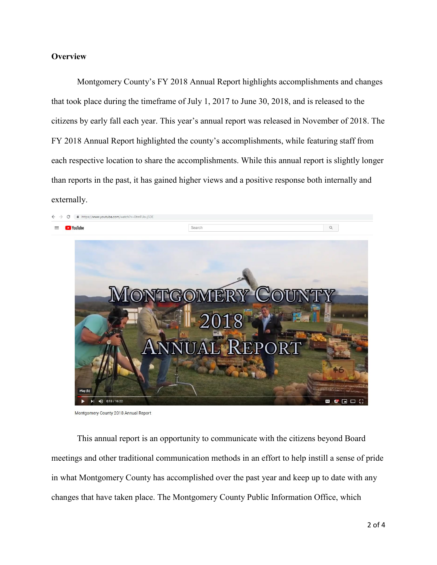#### **Overview**

Montgomery County's FY 2018 Annual Report highlights accomplishments and changes that took place during the timeframe of July 1, 2017 to June 30, 2018, and is released to the citizens by early fall each year. This year's annual report was released in November of 2018. The FY 2018 Annual Report highlighted the county's accomplishments, while featuring staff from each respective location to share the accomplishments. While this annual report is slightly longer than reports in the past, it has gained higher views and a positive response both internally and externally.



Montgomery County 2018 Annual Report

This annual report is an opportunity to communicate with the citizens beyond Board meetings and other traditional communication methods in an effort to help instill a sense of pride in what Montgomery County has accomplished over the past year and keep up to date with any changes that have taken place. The Montgomery County Public Information Office, which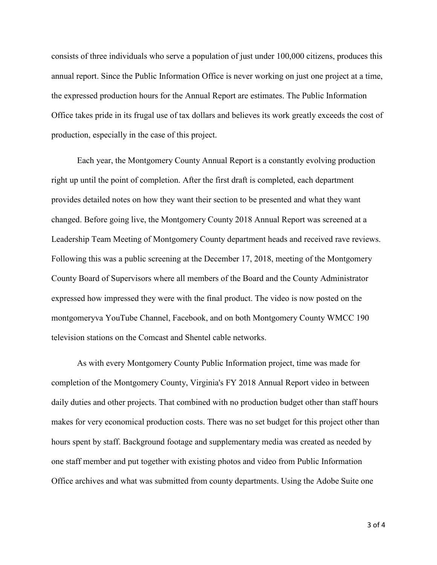consists of three individuals who serve a population of just under 100,000 citizens, produces this annual report. Since the Public Information Office is never working on just one project at a time, the expressed production hours for the Annual Report are estimates. The Public Information Office takes pride in its frugal use of tax dollars and believes its work greatly exceeds the cost of production, especially in the case of this project.

Each year, the Montgomery County Annual Report is a constantly evolving production right up until the point of completion. After the first draft is completed, each department provides detailed notes on how they want their section to be presented and what they want changed. Before going live, the Montgomery County 2018 Annual Report was screened at a Leadership Team Meeting of Montgomery County department heads and received rave reviews. Following this was a public screening at the December 17, 2018, meeting of the Montgomery County Board of Supervisors where all members of the Board and the County Administrator expressed how impressed they were with the final product. The video is now posted on the montgomeryva YouTube Channel, Facebook, and on both Montgomery County WMCC 190 television stations on the Comcast and Shentel cable networks.

As with every Montgomery County Public Information project, time was made for completion of the Montgomery County, Virginia's FY 2018 Annual Report video in between daily duties and other projects. That combined with no production budget other than staff hours makes for very economical production costs. There was no set budget for this project other than hours spent by staff. Background footage and supplementary media was created as needed by one staff member and put together with existing photos and video from Public Information Office archives and what was submitted from county departments. Using the Adobe Suite one